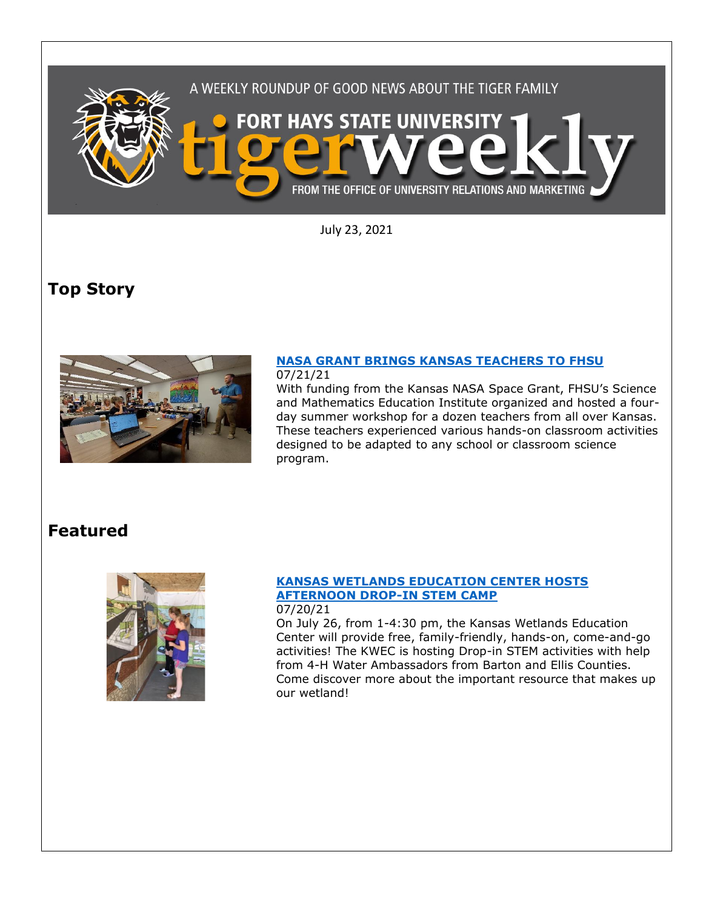

July 23, 2021

# **Top Story**



## **[NASA GRANT BRINGS KANSAS TEACHERS TO FHSU](https://www.fhsu.edu/news/2021/07/nasa-grant-brings-kansas-teachers-to-fhsu)**

07/21/21

With funding from the Kansas NASA Space Grant, FHSU's Science and Mathematics Education Institute organized and hosted a fourday summer workshop for a dozen teachers from all over Kansas. These teachers experienced various hands-on classroom activities designed to be adapted to any school or classroom science program.

### **Featured**



### **[KANSAS WETLANDS EDUCATION CENTER HOSTS](https://www.fhsu.edu/news/2021/07/kansas-wetlands-education-center-hosts-afternoon-drop-in-stem-camp)  [AFTERNOON DROP-IN STEM CAMP](https://www.fhsu.edu/news/2021/07/kansas-wetlands-education-center-hosts-afternoon-drop-in-stem-camp)**

07/20/21 On July 26, from 1-4:30 pm, the Kansas Wetlands Education Center will provide free, family-friendly, hands-on, come-and-go activities! The KWEC is hosting Drop-in STEM activities with help from 4-H Water Ambassadors from Barton and Ellis Counties. Come discover more about the important resource that makes up our wetland!